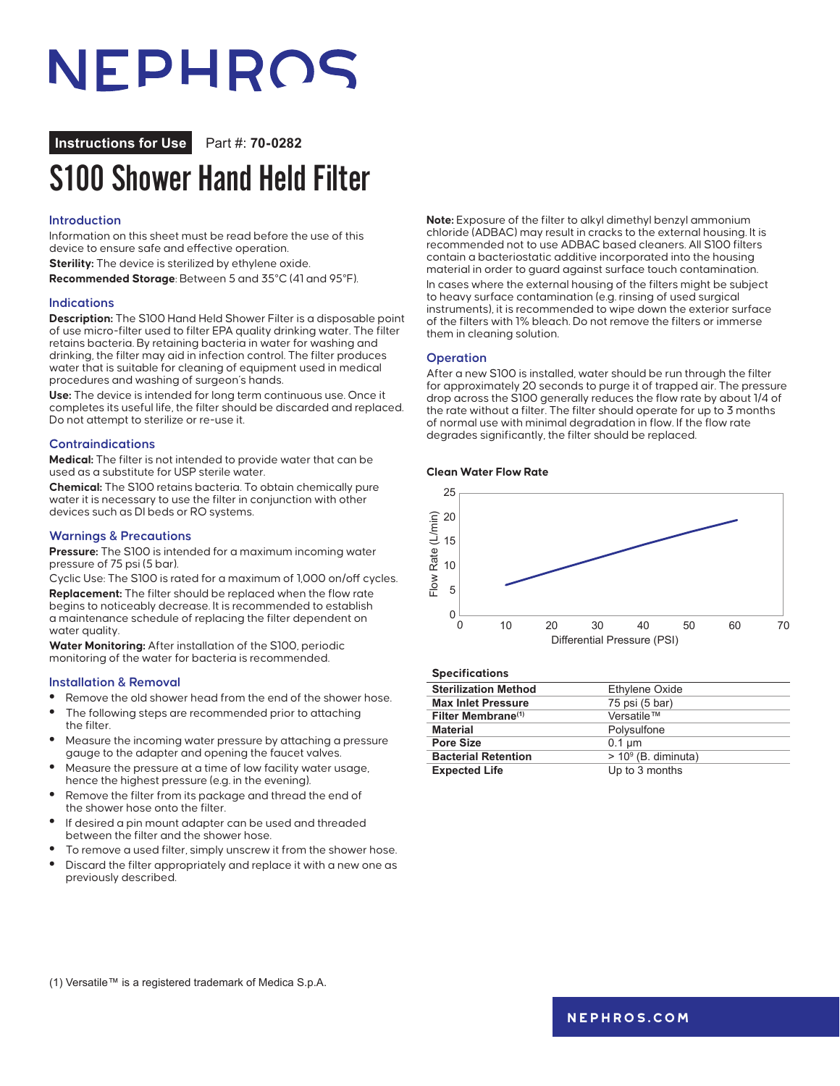## NEPHROS

**Instructions for Use** Part #: **70-0282**

### S100 Shower Hand Held Filter

#### **Introduction**

Information on this sheet must be read before the use of this device to ensure safe and effective operation.

**Sterility:** The device is sterilized by ethylene oxide.

**Recommended Storage**: Between 5 and 35°C (41 and 95°F).

#### **Indications**

**Description:** The S100 Hand Held Shower Filter is a disposable point of use micro-filter used to filter EPA quality drinking water. The filter retains bacteria. By retaining bacteria in water for washing and drinking, the filter may aid in infection control. The filter produces water that is suitable for cleaning of equipment used in medical procedures and washing of surgeon's hands.

**Use:** The device is intended for long term continuous use. Once it completes its useful life, the filter should be discarded and replaced. Do not attempt to sterilize or re-use it.

#### **Contraindications**

**Medical:** The filter is not intended to provide water that can be used as a substitute for USP sterile water.

**Chemical:** The S100 retains bacteria. To obtain chemically pure water it is necessary to use the filter in conjunction with other devices such as DI beds or RO systems.

#### **Warnings & Precautions**

**Pressure:** The S100 is intended for a maximum incoming water pressure of 75 psi (5 bar).

Cyclic Use: The S100 is rated for a maximum of 1,000 on/off cycles. **Replacement:** The filter should be replaced when the flow rate begins to noticeably decrease. It is recommended to establish a maintenance schedule of replacing the filter dependent on water quality.

**Water Monitoring:** After installation of the S100, periodic monitoring of the water for bacteria is recommended.

#### **Installation & Removal**

- **•** Remove the old shower head from the end of the shower hose.
- **•** The following steps are recommended prior to attaching
- the filter. **•** Measure the incoming water pressure by attaching a pressure
- gauge to the adapter and opening the faucet valves.
- **•** Measure the pressure at a time of low facility water usage, hence the highest pressure (e.g. in the evening).
- **•** Remove the filter from its package and thread the end of the shower hose onto the filter.
- **•** If desired a pin mount adapter can be used and threaded between the filter and the shower hose.
- **•** To remove a used filter, simply unscrew it from the shower hose.
- **•** Discard the filter appropriately and replace it with a new one as previously described.

**Note:** Exposure of the filter to alkyl dimethyl benzyl ammonium chloride (ADBAC) may result in cracks to the external housing. It is recommended not to use ADBAC based cleaners. All S100 filters contain a bacteriostatic additive incorporated into the housing material in order to guard against surface touch contamination. In cases where the external housing of the filters might be subject to heavy surface contamination (e.g. rinsing of used surgical instruments), it is recommended to wipe down the exterior surface of the filters with 1% bleach. Do not remove the filters or immerse them in cleaning solution.

#### **Operation**

After a new S100 is installed, water should be run through the filter for approximately 20 seconds to purge it of trapped air. The pressure drop across the S100 generally reduces the flow rate by about 1/4 of the rate without a filter. The filter should operate for up to 3 months of normal use with minimal degradation in flow. If the flow rate degrades significantly, the filter should be replaced.

#### **Clean Water Flow Rate**



#### **Specifications**

| <b>Sterilization Method</b>    | Ethylene Oxide         |
|--------------------------------|------------------------|
| <b>Max Inlet Pressure</b>      | 75 psi (5 bar)         |
| Filter Membrane <sup>(1)</sup> | Versatile™             |
| <b>Material</b>                | Polysulfone            |
| Pore Size                      | $0.1 \mu m$            |
| <b>Bacterial Retention</b>     | $> 10^9$ (B. diminuta) |
| <b>Expected Life</b>           | Up to 3 months         |
|                                |                        |

(1) Versatile™ is a registered trademark of Medica S.p.A.